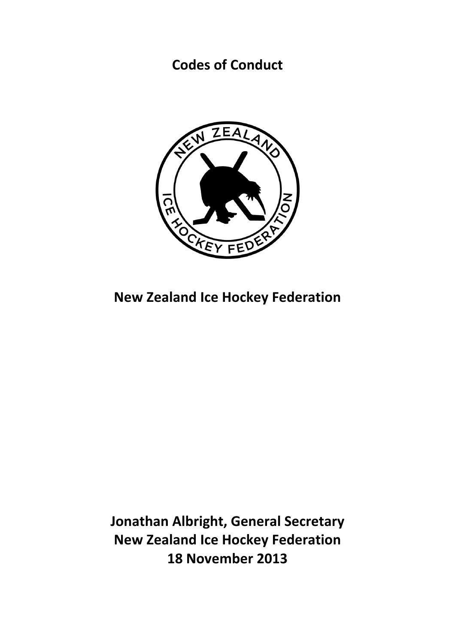**Codes of Conduct** 



**New Zealand Ice Hockey Federation** 

**Jonathan Albright, General Secretary New Zealand Ice Hockey Federation 18 November 2013**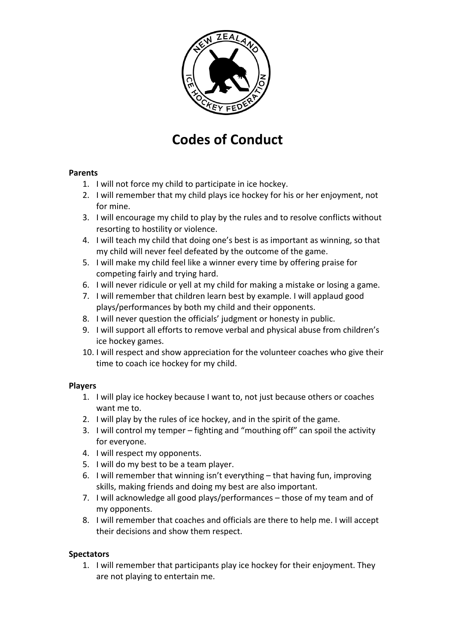

# **Codes of Conduct**

### **Parents**

- 1. I will not force my child to participate in ice hockey.
- 2. I will remember that my child plays ice hockey for his or her enjoyment, not for mine.
- 3. I will encourage my child to play by the rules and to resolve conflicts without resorting to hostility or violence.
- 4. I will teach my child that doing one's best is as important as winning, so that my child will never feel defeated by the outcome of the game.
- 5. I will make my child feel like a winner every time by offering praise for competing fairly and trying hard.
- 6. I will never ridicule or yell at my child for making a mistake or losing a game.
- 7. I will remember that children learn best by example. I will applaud good plays/performances by both my child and their opponents.
- 8. I will never question the officials' judgment or honesty in public.
- 9. I will support all efforts to remove verbal and physical abuse from children's ice hockey games.
- 10. I will respect and show appreciation for the volunteer coaches who give their time to coach ice hockey for my child.

### **Players**

- 1. I will play ice hockey because I want to, not just because others or coaches want me to.
- 2. I will play by the rules of ice hockey, and in the spirit of the game.
- 3. I will control my temper  $-$  fighting and "mouthing off" can spoil the activity for everyone.
- 4. I will respect my opponents.
- 5. I will do my best to be a team player.
- 6. I will remember that winning isn't everything  $-$  that having fun, improving skills, making friends and doing my best are also important.
- 7. I will acknowledge all good plays/performances those of my team and of my opponents.
- 8. I will remember that coaches and officials are there to help me. I will accept their decisions and show them respect.

### **Spectators**

1. I will remember that participants play ice hockey for their enjoyment. They are not playing to entertain me.